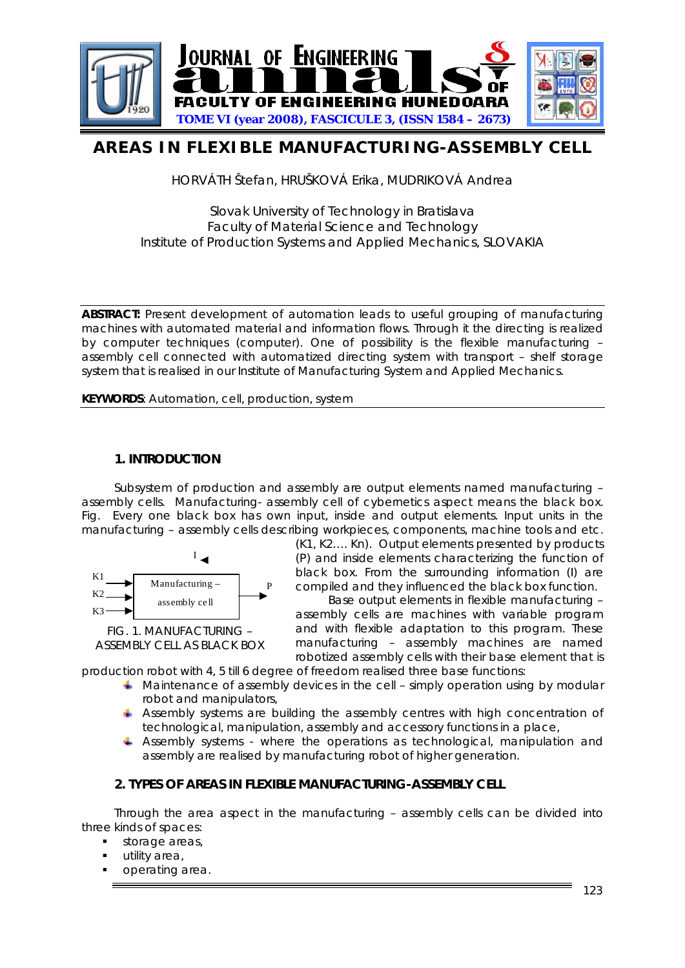

# **AREAS IN FLEXIBLE MANUFACTURING-ASSEMBLY CELL**

HORVÁTH Štefan, HRUŠKOVÁ Erika, MUDRIKOVÁ Andrea

# Slovak University of Technology in Bratislava Faculty of Material Science and Technology Institute of Production Systems and Applied Mechanics, SLOVAKIA

**ABSTRACT:** Present development of automation leads to useful grouping of manufacturing machines with automated material and information flows. Through it the directing is realized by computer techniques (computer). One of possibility is the flexible manufacturing – assembly cell connected with automatized directing system with transport – shelf storage system that is realised in our Institute of Manufacturing System and Applied Mechanics.

**KEYWORDS**: Automation, cell, production, system

# **1. INTRODUCTION**

Subsystem of production and assembly are output elements named manufacturing – assembly cells. Manufacturing- assembly cell of cybernetics aspect means the black box. [Fig.](#page-0-0) Every one black box has own input, inside and output elements. Input units in the manufacturing – assembly cells describing workpieces, components, machine tools and etc.



(K1, K2…. Kn). Output elements presented by products (P) and inside elements characterizing the function of black box. From the surrounding information (I) are compiled and they influenced the black box function.

Base output elements in flexible manufacturing – assembly cells are machines with variable program and with flexible adaptation to this program. These manufacturing – assembly machines are named robotized assembly cells with their base element that is

<span id="page-0-0"></span>production robot with 4, 5 till 6 degree of freedom realised three base functions:

- $\blacktriangle$  Maintenance of assembly devices in the cell simply operation using by modular robot and manipulators,
- $\blacktriangle$  Assembly systems are building the assembly centres with high concentration of technological, manipulation, assembly and accessory functions in a place,
- Assembly systems where the operations as technological, manipulation and assembly are realised by manufacturing robot of higher generation.

# **2. TYPES OF AREAS IN FLEXIBLE MANUFACTURING-ASSEMBLY CELL**

Through the area aspect in the manufacturing – assembly cells can be divided into three kinds of spaces:

- **storage areas,**
- **utility area,**
- operating area.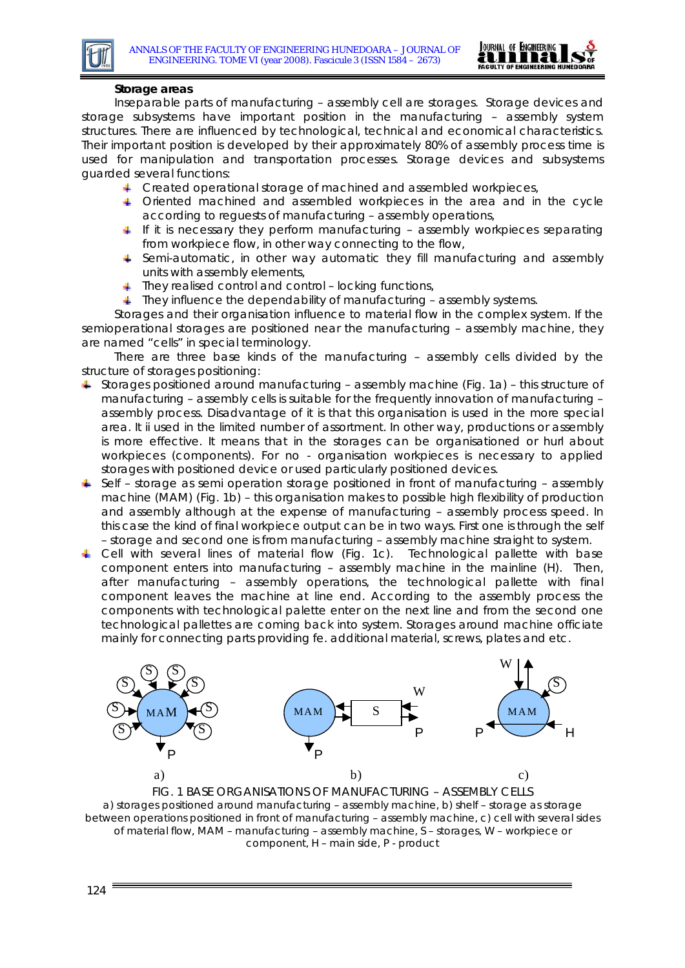

#### **Storage areas**

Inseparable parts of manufacturing – assembly cell are storages. Storage devices and storage subsystems have important position in the manufacturing – assembly system structures. There are influenced by technological, technical and economical characteristics. Their important position is developed by their approximately 80% of assembly process time is used for manipulation and transportation processes. Storage devices and subsystems guarded several functions:

- F Created operational storage of machined and assembled workpieces,
- Oriented machined and assembled workpieces in the area and in the cycle according to reguests of manufacturing – assembly operations,
- If it is necessary they perform manufacturing assembly workpieces separating from workpiece flow, in other way connecting to the flow,
- Semi-automatic, in other way automatic they fill manufacturing and assembly units with assembly elements,
- $\ddagger$  They realised control and control locking functions,
- $\ddotmark$  They influence the dependability of manufacturing assembly systems.

Storages and their organisation influence to material flow in the complex system. If the semioperational storages are positioned near the manufacturing – assembly machine, they are named "cells" in special terminology.

There are three base kinds of the manufacturing – assembly cells divided by the structure of storages positioning:

- $\overline{+}$  Storages positioned around manufacturing assembly machine [\(Fig. 1](#page-1-0)a) this structure of manufacturing – assembly cells is suitable for the frequently innovation of manufacturing – assembly process. Disadvantage of it is that this organisation is used in the more special area. It ii used in the limited number of assortment. In other way, productions or assembly is more effective. It means that in the storages can be organisationed or hurl about workpieces (components). For no - organisation workpieces is necessary to applied storages with positioned device or used particularly positioned devices.
- $\div$  Self storage as semi operation storage positioned in front of manufacturing assembly machine (MAM) [\(Fig. 1](#page-1-0)b) – this organisation makes to possible high flexibility of production and assembly although at the expense of manufacturing – assembly process speed. In this case the kind of final workpiece output can be in two ways. First one is through the self – storage and second one is from manufacturing – assembly machine straight to system.
- Cell with several lines of material flow [\(Fig. 1c](#page-1-0)). Technological pallette with base component enters into manufacturing – assembly machine in the mainline (H). Then, after manufacturing – assembly operations, the technological pallette with final component leaves the machine at line end. According to the assembly process the components with technological palette enter on the next line and from the second one technological pallettes are coming back into system. Storages around machine officiate mainly for connecting parts providing fe. additional material, screws, plates and etc.



<span id="page-1-0"></span>FIG. 1 BASE ORGANISATIONS OF MANUFACTURING – ASSEMBLY CELLS a) storages positioned around manufacturing – assembly machine, b) shelf – storage as storage between operations positioned in front of manufacturing – assembly machine, c) cell with several sides of material flow, MAM – manufacturing – assembly machine, S – storages, W – workpiece or component, H – main side, P - product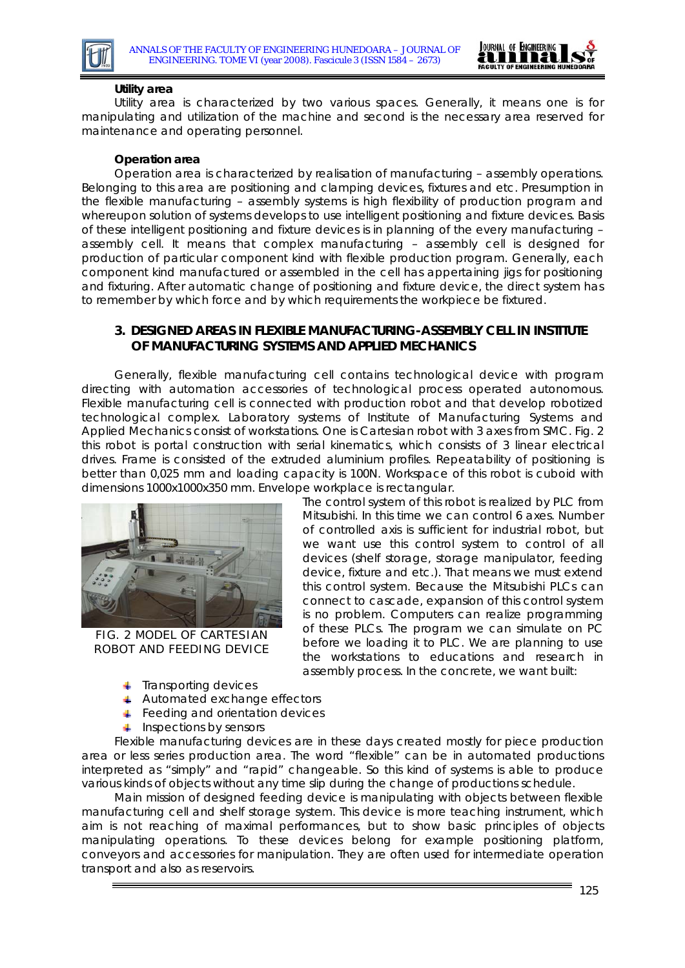



#### **Utility area**

Utility area is characterized by two various spaces. Generally, it means one is for manipulating and utilization of the machine and second is the necessary area reserved for maintenance and operating personnel.

#### **Operation area**

Operation area is characterized by realisation of manufacturing – assembly operations. Belonging to this area are positioning and clamping devices, fixtures and etc. Presumption in the flexible manufacturing – assembly systems is high flexibility of production program and whereupon solution of systems develops to use intelligent positioning and fixture devices. Basis of these intelligent positioning and fixture devices is in planning of the every manufacturing – assembly cell. It means that complex manufacturing – assembly cell is designed for production of particular component kind with flexible production program. Generally, each component kind manufactured or assembled in the cell has appertaining jigs for positioning and fixturing. After automatic change of positioning and fixture device, the direct system has to remember by which force and by which requirements the workpiece be fixtured.

## **3. DESIGNED AREAS IN FLEXIBLE MANUFACTURING-ASSEMBLY CELL IN INSTITUTE OF MANUFACTURING SYSTEMS AND APPLIED MECHANICS**

Generally, flexible manufacturing cell contains technological device with program directing with automation accessories of technological process operated autonomous. Flexible manufacturing cell is connected with production robot and that develop robotized technological complex. Laboratory systems of Institute of Manufacturing Systems and Applied Mechanics consist of workstations. One is Cartesian robot with 3 axes from SMC. [Fig. 2](#page-2-0) this robot is portal construction with serial kinematics, which consists of 3 linear electrical drives. Frame is consisted of the extruded aluminium profiles. Repeatability of positioning is better than 0,025 mm and loading capacity is 100N. Workspace of this robot is cuboid with dimensions 1000x1000x350 mm. Envelope workplace is rectangular.



FIG. 2 MODEL OF CARTESIAN ROBOT AND FEEDING DEVICE

The control system of this robot is realized by PLC from Mitsubishi. In this time we can control 6 axes. Number of controlled axis is sufficient for industrial robot, but we want use this control system to control of all devices (shelf storage, storage manipulator, feeding device, fixture and etc.). That means we must extend this control system. Because the Mitsubishi PLCs can connect to cascade, expansion of this control system is no problem. Computers can realize programming of these PLCs. The program we can simulate on PC before we loading it to PLC. We are planning to use the workstations to educations and research in assembly process. In the concrete, we want built:

- <span id="page-2-0"></span> $\overline{\phantom{a}}$  Transporting devices
- **↓** Automated exchange effectors
- Feeding and orientation devices
- $\downarrow$  Inspections by sensors

Flexible manufacturing devices are in these days created mostly for piece production area or less series production area. The word "flexible" can be in automated productions interpreted as "simply" and "rapid" changeable. So this kind of systems is able to produce various kinds of objects without any time slip during the change of productions schedule.

Main mission of designed feeding device is manipulating with objects between flexible manufacturing cell and shelf storage system. This device is more teaching instrument, which aim is not reaching of maximal performances, but to show basic principles of objects manipulating operations. To these devices belong for example positioning platform, conveyors and accessories for manipulation. They are often used for intermediate operation transport and also as reservoirs.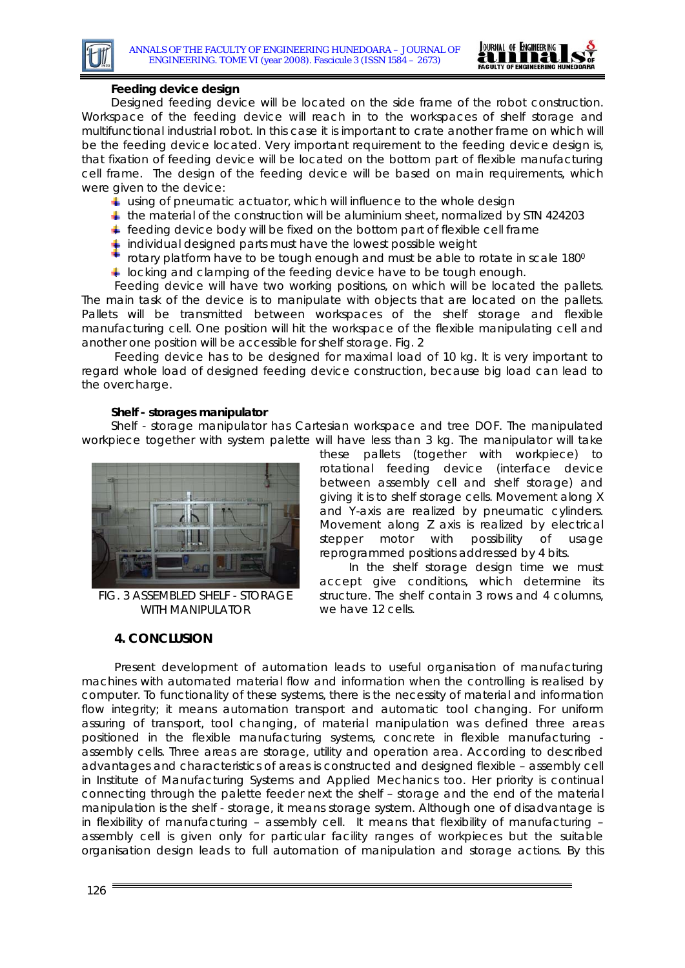

## **Feeding device design**

Designed feeding device will be located on the side frame of the robot construction. Workspace of the feeding device will reach in to the workspaces of shelf storage and multifunctional industrial robot. In this case it is important to crate another frame on which will be the feeding device located. Very important requirement to the feeding device design is, that fixation of feeding device will be located on the bottom part of flexible manufacturing cell frame. The design of the feeding device will be based on main requirements, which were given to the device:

- $\ddagger$  using of pneumatic actuator, which will influence to the whole design
- $\ddag$  the material of the construction will be aluminium sheet, normalized by STN 424203
- $\ddot{\phantom{1}}$  feeding device body will be fixed on the bottom part of flexible cell frame
- individual designed parts must have the lowest possible weight
- rotary platform have to be tough enough and must be able to rotate in scale 1800
- **L** locking and clamping of the feeding device have to be tough enough.

Feeding device will have two working positions, on which will be located the pallets. The main task of the device is to manipulate with objects that are located on the pallets. Pallets will be transmitted between workspaces of the shelf storage and flexible manufacturing cell. One position will hit the workspace of the flexible manipulating cell and another one position will be accessible for shelf storage. [Fig. 2](#page-2-0)

Feeding device has to be designed for maximal load of 10 kg. It is very important to regard whole load of designed feeding device construction, because big load can lead to the overcharge.

#### **Shelf - storages manipulator**

Shelf - storage manipulator has Cartesian workspace and tree DOF. The manipulated workpiece together with system palette will have less than 3 kg. The manipulator will take



FIG. 3 ASSEMBLED SHELF - STORAGE WITH MANIPULATOR

## **4. CONCLUSION**

these pallets (together with workpiece) to rotational feeding device (interface device between assembly cell and shelf storage) and giving it is to shelf storage cells. Movement along X and Y-axis are realized by pneumatic cylinders. Movement along Z axis is realized by electrical stepper motor with possibility of usage reprogrammed positions addressed by 4 bits.

In the shelf storage design time we must accept give conditions, which determine its structure. The shelf contain 3 rows and 4 columns, we have 12 cells.

Present development of automation leads to useful organisation of manufacturing machines with automated material flow and information when the controlling is realised by computer. To functionality of these systems, there is the necessity of material and information flow integrity; it means automation transport and automatic tool changing. For uniform assuring of transport, tool changing, of material manipulation was defined three areas positioned in the flexible manufacturing systems, concrete in flexible manufacturing assembly cells. Three areas are storage, utility and operation area. According to described advantages and characteristics of areas is constructed and designed flexible – assembly cell in Institute of Manufacturing Systems and Applied Mechanics too. Her priority is continual connecting through the palette feeder next the shelf – storage and the end of the material manipulation is the shelf - storage, it means storage system. Although one of disadvantage is in flexibility of manufacturing – assembly cell. It means that flexibility of manufacturing – assembly cell is given only for particular facility ranges of workpieces but the suitable organisation design leads to full automation of manipulation and storage actions. By this